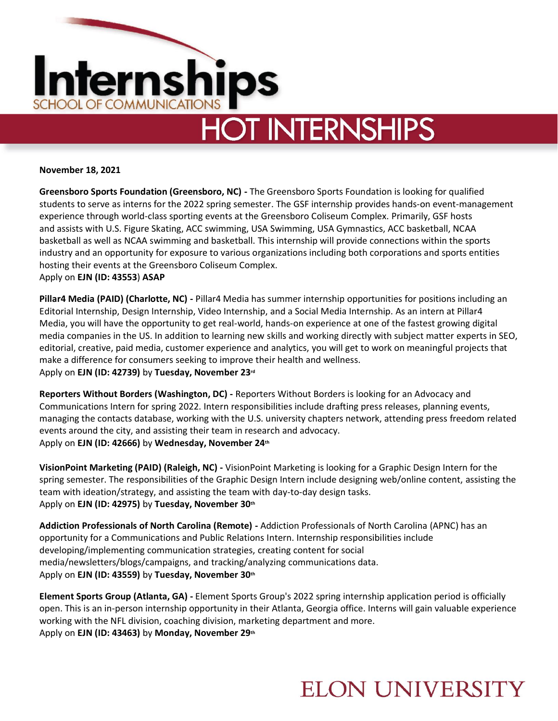

# **HOT INTERNSHIPS**

#### **November 18, 2021**

**Greensboro Sports Foundation (Greensboro, NC) -** The Greensboro Sports Foundation is looking for qualified students to serve as interns for the 2022 spring semester. The GSF internship provides hands-on event-management experience through world-class sporting events at the Greensboro Coliseum Complex. Primarily, GSF hosts and assists with U.S. Figure Skating, ACC swimming, USA Swimming, USA Gymnastics, ACC basketball, NCAA basketball as well as NCAA swimming and basketball. This internship will provide connections within the sports industry and an opportunity for exposure to various organizations including both corporations and sports entities hosting their events at the Greensboro Coliseum Complex. Apply on **EJN (ID: 43553**) **ASAP**

**Pillar4 Media (PAID) (Charlotte, NC) -** Pillar4 Media has summer internship opportunities for positions including an Editorial Internship, Design Internship, Video Internship, and a Social Media Internship. As an intern at Pillar4 Media, you will have the opportunity to get real-world, hands-on experience at one of the fastest growing digital media companies in the US. In addition to learning new skills and working directly with subject matter experts in SEO, editorial, creative, paid media, customer experience and analytics, you will get to work on meaningful projects that make a difference for consumers seeking to improve their health and wellness. Apply on **EJN (ID: 42739)** by **Tuesday, November 23rd**

**Reporters Without Borders (Washington, DC) -** Reporters Without Borders is looking for an Advocacy and Communications Intern for spring 2022. Intern responsibilities include drafting press releases, planning events, managing the contacts database, working with the U.S. university chapters network, attending press freedom related events around the city, and assisting their team in research and advocacy. Apply on **EJN (ID: 42666)** by **Wednesday, November 24th**

**VisionPoint Marketing (PAID) (Raleigh, NC) -** VisionPoint Marketing is looking for a Graphic Design Intern for the spring semester. The responsibilities of the Graphic Design Intern include designing web/online content, assisting the team with ideation/strategy, and assisting the team with day-to-day design tasks. Apply on **EJN (ID: 42975)** by **Tuesday, November 30th**

**Addiction Professionals of North Carolina (Remote) -** Addiction Professionals of North Carolina (APNC) has an opportunity for a Communications and Public Relations Intern. Internship responsibilities include developing/implementing communication strategies, creating content for social media/newsletters/blogs/campaigns, and tracking/analyzing communications data. Apply on **EJN (ID: 43559)** by **Tuesday, November 30th**

**Element Sports Group (Atlanta, GA) -** Element Sports Group's 2022 spring internship application period is officially open. This is an in-person internship opportunity in their Atlanta, Georgia office. Interns will gain valuable experience working with the NFL division, coaching division, marketing department and more. Apply on **EJN (ID: 43463)** by **Monday, November 29th**

#### **ELON UNIVERSITY**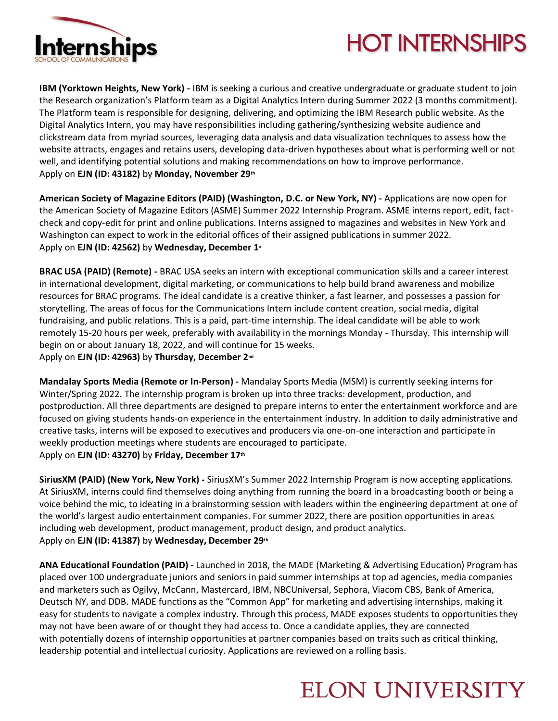

# **HOT INTERNSHIPS**

**IBM (Yorktown Heights, New York) -** IBM is seeking a curious and creative undergraduate or graduate student to join the Research organization's Platform team as a Digital Analytics Intern during Summer 2022 (3 months commitment). The Platform team is responsible for designing, delivering, and optimizing the IBM Research public website. As the Digital Analytics Intern, you may have responsibilities including gathering/synthesizing website audience and clickstream data from myriad sources, leveraging data analysis and data visualization techniques to assess how the website attracts, engages and retains users, developing data-driven hypotheses about what is performing well or not well, and identifying potential solutions and making recommendations on how to improve performance. Apply on **EJN (ID: 43182)** by **Monday, November 29th**

**American Society of Magazine Editors (PAID) (Washington, D.C. or New York, NY) -** Applications are now open for the American Society of Magazine Editors (ASME) Summer 2022 Internship Program. ASME interns report, edit, factcheck and copy-edit for print and online publications. Interns assigned to magazines and websites in New York and Washington can expect to work in the editorial offices of their assigned publications in summer 2022. Apply on **EJN (ID: 42562)** by **Wednesday, December 1st**

**BRAC USA (PAID) (Remote) -** BRAC USA seeks an intern with exceptional communication skills and a career interest in international development, digital marketing, or communications to help build brand awareness and mobilize resources for BRAC programs. The ideal candidate is a creative thinker, a fast learner, and possesses a passion for storytelling. The areas of focus for the Communications Intern include content creation, social media, digital fundraising, and public relations. This is a paid, part-time internship. The ideal candidate will be able to work remotely 15-20 hours per week, preferably with availability in the mornings Monday - Thursday. This internship will begin on or about January 18, 2022, and will continue for 15 weeks. Apply on **EJN (ID: 42963)** by **Thursday, December 2nd**

**Mandalay Sports Media (Remote or In-Person) -** Mandalay Sports Media (MSM) is currently seeking interns for Winter/Spring 2022. The internship program is broken up into three tracks: development, production, and postproduction. All three departments are designed to prepare interns to enter the entertainment workforce and are focused on giving students hands-on experience in the entertainment industry. In addition to daily administrative and creative tasks, interns will be exposed to executives and producers via one-on-one interaction and participate in weekly production meetings where students are encouraged to participate. Apply on **EJN (ID: 43270)** by **Friday, December 17th**

**SiriusXM (PAID) (New York, New York) -** SiriusXM's Summer 2022 Internship Program is now accepting applications. At SiriusXM, interns could find themselves doing anything from running the board in a broadcasting booth or being a voice behind the mic, to ideating in a brainstorming session with leaders within the engineering department at one of the world's largest audio entertainment companies. For summer 2022, there are position opportunities in areas including web development, product management, product design, and product analytics. Apply on **EJN (ID: 41387)** by **Wednesday, December 29th**

**ANA Educational Foundation (PAID) -** Launched in 2018, the MADE (Marketing & Advertising Education) Program has placed over 100 undergraduate juniors and seniors in paid summer internships at top ad agencies, media companies and marketers such as Ogilvy, McCann, Mastercard, IBM, NBCUniversal, Sephora, Viacom CBS, Bank of America, Deutsch NY, and DDB. MADE functions as the "Common App" for marketing and advertising internships, making it easy for students to navigate a complex industry. Through this process, MADE exposes students to opportunities they may not have been aware of or thought they had access to. Once a candidate applies, they are connected with potentially dozens of internship opportunities at partner companies based on traits such as critical thinking, leadership potential and intellectual curiosity. Applications are reviewed on a rolling basis.

### **ELON UNIVERSITY**